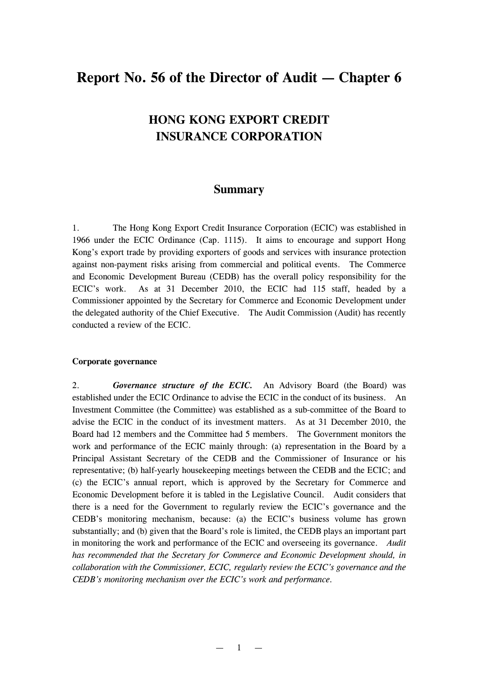# **Report No. 56 of the Director of Audit — Chapter 6**

# **HONG KONG EXPORT CREDIT INSURANCE CORPORATION**

# **Summary**

1. The Hong Kong Export Credit Insurance Corporation (ECIC) was established in 1966 under the ECIC Ordinance (Cap. 1115). It aims to encourage and support Hong Kong's export trade by providing exporters of goods and services with insurance protection against non-payment risks arising from commercial and political events. The Commerce and Economic Development Bureau (CEDB) has the overall policy responsibility for the ECIC's work. As at 31 December 2010, the ECIC had 115 staff, headed by a Commissioner appointed by the Secretary for Commerce and Economic Development under the delegated authority of the Chief Executive. The Audit Commission (Audit) has recently conducted a review of the ECIC.

#### **Corporate governance**

2. *Governance structure of the ECIC.* An Advisory Board (the Board) was established under the ECIC Ordinance to advise the ECIC in the conduct of its business. An Investment Committee (the Committee) was established as a sub-committee of the Board to advise the ECIC in the conduct of its investment matters. As at 31 December 2010, the Board had 12 members and the Committee had 5 members. The Government monitors the work and performance of the ECIC mainly through: (a) representation in the Board by a Principal Assistant Secretary of the CEDB and the Commissioner of Insurance or his representative; (b) half-yearly housekeeping meetings between the CEDB and the ECIC; and (c) the ECIC's annual report, which is approved by the Secretary for Commerce and Economic Development before it is tabled in the Legislative Council. Audit considers that there is a need for the Government to regularly review the ECIC's governance and the CEDB's monitoring mechanism, because: (a) the ECIC's business volume has grown substantially; and (b) given that the Board's role is limited, the CEDB plays an important part in monitoring the work and performance of the ECIC and overseeing its governance. *Audit has recommended that the Secretary for Commerce and Economic Development should, in collaboration with the Commissioner, ECIC, regularly review the ECIC's governance and the CEDB's monitoring mechanism over the ECIC's work and performance.*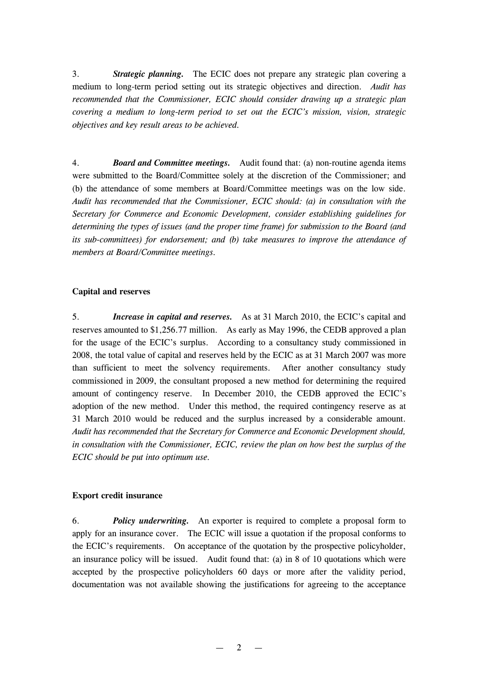3. *Strategic planning.* The ECIC does not prepare any strategic plan covering a medium to long-term period setting out its strategic objectives and direction. *Audit has recommended that the Commissioner, ECIC should consider drawing up a strategic plan covering a medium to long-term period to set out the ECIC's mission, vision, strategic objectives and key result areas to be achieved.*

4. *Board and Committee meetings.* Audit found that: (a) non-routine agenda items were submitted to the Board/Committee solely at the discretion of the Commissioner; and (b) the attendance of some members at Board/Committee meetings was on the low side. *Audit has recommended that the Commissioner, ECIC should: (a) in consultation with the Secretary for Commerce and Economic Development, consider establishing guidelines for determining the types of issues (and the proper time frame) for submission to the Board (and its sub-committees) for endorsement; and (b) take measures to improve the attendance of members at Board/Committee meetings.*

## **Capital and reserves**

5. *Increase in capital and reserves.* As at 31 March 2010, the ECIC's capital and reserves amounted to \$1,256.77 million. As early as May 1996, the CEDB approved a plan for the usage of the ECIC's surplus. According to a consultancy study commissioned in 2008, the total value of capital and reserves held by the ECIC as at 31 March 2007 was more than sufficient to meet the solvency requirements. After another consultancy study commissioned in 2009, the consultant proposed a new method for determining the required amount of contingency reserve. In December 2010, the CEDB approved the ECIC's adoption of the new method. Under this method, the required contingency reserve as at 31 March 2010 would be reduced and the surplus increased by a considerable amount. *Audit has recommended that the Secretary for Commerce and Economic Development should, in consultation with the Commissioner, ECIC, review the plan on how best the surplus of the ECIC should be put into optimum use.*

#### **Export credit insurance**

6. *Policy underwriting.* An exporter is required to complete a proposal form to apply for an insurance cover. The ECIC will issue a quotation if the proposal conforms to the ECIC's requirements. On acceptance of the quotation by the prospective policyholder, an insurance policy will be issued. Audit found that: (a) in 8 of 10 quotations which were accepted by the prospective policyholders 60 days or more after the validity period, documentation was not available showing the justifications for agreeing to the acceptance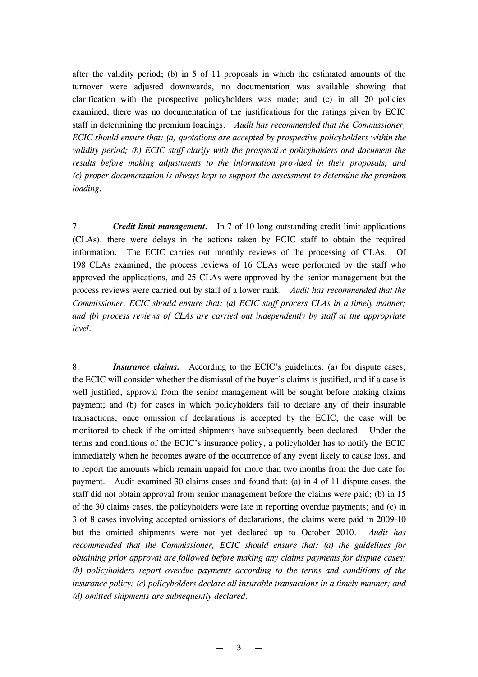after the validity period; (b) in 5 of 11 proposals in which the estimated amounts of the turnover were adjusted downwards, no documentation was available showing that clarification with the prospective policyholders was made; and (c) in all 20 policies examined, there was no documentation of the justifications for the ratings given by ECIC staff in determining the premium loadings. *Audit has recommended that the Commissioner, ECIC should ensure that: (a) quotations are accepted by prospective policyholders within the validity period; (b) ECIC staff clarify with the prospective policyholders and document the results before making adjustments to the information provided in their proposals; and (c) proper documentation is always kept to support the assessment to determine the premium loading.*

7. *Credit limit management.* In 7 of 10 long outstanding credit limit applications (CLAs), there were delays in the actions taken by ECIC staff to obtain the required information. The ECIC carries out monthly reviews of the processing of CLAs. Of 198 CLAs examined, the process reviews of 16 CLAs were performed by the staff who approved the applications, and 25 CLAs were approved by the senior management but the process reviews were carried out by staff of a lower rank. *Audit has recommended that the Commissioner, ECIC should ensure that: (a) ECIC staff process CLAs in a timely manner; and (b) process reviews of CLAs are carried out independently by staff at the appropriate level.*

8. *Insurance claims.* According to the ECIC's guidelines: (a) for dispute cases, the ECIC will consider whether the dismissal of the buyer's claims is justified, and if a case is well justified, approval from the senior management will be sought before making claims payment; and (b) for cases in which policyholders fail to declare any of their insurable transactions, once omission of declarations is accepted by the ECIC, the case will be monitored to check if the omitted shipments have subsequently been declared. Under the terms and conditions of the ECIC's insurance policy, a policyholder has to notify the ECIC immediately when he becomes aware of the occurrence of any event likely to cause loss, and to report the amounts which remain unpaid for more than two months from the due date for payment. Audit examined 30 claims cases and found that: (a) in 4 of 11 dispute cases, the staff did not obtain approval from senior management before the claims were paid; (b) in 15 of the 30 claims cases, the policyholders were late in reporting overdue payments; and (c) in 3 of 8 cases involving accepted omissions of declarations, the claims were paid in 2009-10 but the omitted shipments were not yet declared up to October 2010. *Audit has recommended that the Commissioner, ECIC should ensure that: (a) the guidelines for obtaining prior approval are followed before making any claims payments for dispute cases; (b) policyholders report overdue payments according to the terms and conditions of the insurance policy; (c) policyholders declare all insurable transactions in a timely manner; and (d) omitted shipments are subsequently declared.*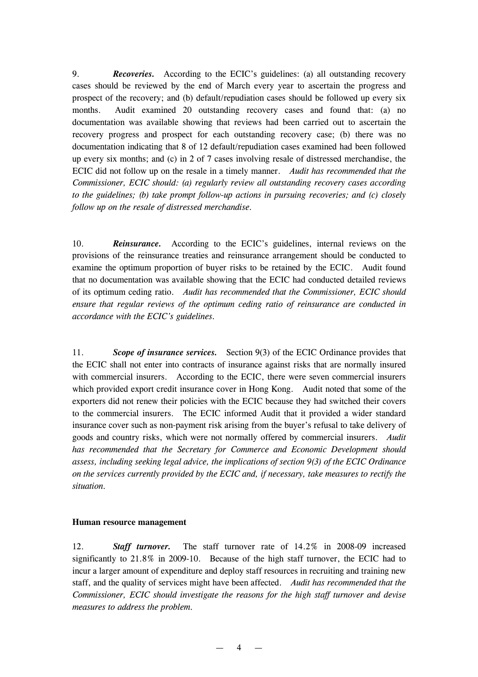9. *Recoveries.* According to the ECIC's guidelines: (a) all outstanding recovery cases should be reviewed by the end of March every year to ascertain the progress and prospect of the recovery; and (b) default/repudiation cases should be followed up every six months. Audit examined 20 outstanding recovery cases and found that: (a) no documentation was available showing that reviews had been carried out to ascertain the recovery progress and prospect for each outstanding recovery case; (b) there was no documentation indicating that 8 of 12 default/repudiation cases examined had been followed up every six months; and (c) in 2 of 7 cases involving resale of distressed merchandise, the ECIC did not follow up on the resale in a timely manner. *Audit has recommended that the Commissioner, ECIC should: (a) regularly review all outstanding recovery cases according to the guidelines; (b) take prompt follow-up actions in pursuing recoveries; and (c) closely follow up on the resale of distressed merchandise.*

10. *Reinsurance.* According to the ECIC's guidelines, internal reviews on the provisions of the reinsurance treaties and reinsurance arrangement should be conducted to examine the optimum proportion of buyer risks to be retained by the ECIC. Audit found that no documentation was available showing that the ECIC had conducted detailed reviews of its optimum ceding ratio. *Audit has recommended that the Commissioner, ECIC should ensure that regular reviews of the optimum ceding ratio of reinsurance are conducted in accordance with the ECIC's guidelines.*

11. *Scope of insurance services.* Section 9(3) of the ECIC Ordinance provides that the ECIC shall not enter into contracts of insurance against risks that are normally insured with commercial insurers. According to the ECIC, there were seven commercial insurers which provided export credit insurance cover in Hong Kong. Audit noted that some of the exporters did not renew their policies with the ECIC because they had switched their covers to the commercial insurers. The ECIC informed Audit that it provided a wider standard insurance cover such as non-payment risk arising from the buyer's refusal to take delivery of goods and country risks, which were not normally offered by commercial insurers. *Audit has recommended that the Secretary for Commerce and Economic Development should assess, including seeking legal advice, the implications of section 9(3) of the ECIC Ordinance on the services currently provided by the ECIC and, if necessary, take measures to rectify the situation.*

## **Human resource management**

12. *Staff turnover.* The staff turnover rate of 14.2% in 2008-09 increased significantly to 21.8% in 2009-10. Because of the high staff turnover, the ECIC had to incur a larger amount of expenditure and deploy staff resources in recruiting and training new staff, and the quality of services might have been affected. *Audit has recommended that the Commissioner, ECIC should investigate the reasons for the high staff turnover and devise measures to address the problem.*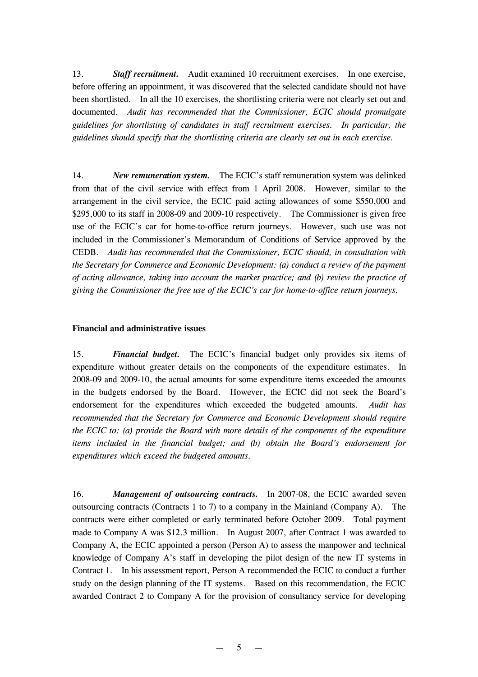13. *Staff recruitment.* Audit examined 10 recruitment exercises. In one exercise, before offering an appointment, it was discovered that the selected candidate should not have been shortlisted. In all the 10 exercises, the shortlisting criteria were not clearly set out and documented. *Audit has recommended that the Commissioner, ECIC should promulgate guidelines for shortlisting of candidates in staff recruitment exercises. In particular, the guidelines should specify that the shortlisting criteria are clearly set out in each exercise.*

14. *New remuneration system.* The ECIC's staff remuneration system was delinked from that of the civil service with effect from 1 April 2008. However, similar to the arrangement in the civil service, the ECIC paid acting allowances of some \$550,000 and \$295,000 to its staff in 2008-09 and 2009-10 respectively. The Commissioner is given free use of the ECIC's car for home-to-office return journeys. However, such use was not included in the Commissioner's Memorandum of Conditions of Service approved by the CEDB. *Audit has recommended that the Commissioner, ECIC should, in consultation with the Secretary for Commerce and Economic Development: (a) conduct a review of the payment of acting allowance, taking into account the market practice; and (b) review the practice of giving the Commissioner the free use of the ECIC's car for home-to-office return journeys.*

## **Financial and administrative issues**

15. *Financial budget.* The ECIC's financial budget only provides six items of expenditure without greater details on the components of the expenditure estimates. In 2008-09 and 2009-10, the actual amounts for some expenditure items exceeded the amounts in the budgets endorsed by the Board. However, the ECIC did not seek the Board's endorsement for the expenditures which exceeded the budgeted amounts. *Audit has recommended that the Secretary for Commerce and Economic Development should require the ECIC to: (a) provide the Board with more details of the components of the expenditure items included in the financial budget; and (b) obtain the Board's endorsement for expenditures which exceed the budgeted amounts.*

16. *Management of outsourcing contracts.* In 2007-08, the ECIC awarded seven outsourcing contracts (Contracts 1 to 7) to a company in the Mainland (Company A). The contracts were either completed or early terminated before October 2009. Total payment made to Company A was \$12.3 million. In August 2007, after Contract 1 was awarded to Company A, the ECIC appointed a person (Person A) to assess the manpower and technical knowledge of Company A's staff in developing the pilot design of the new IT systems in Contract 1. In his assessment report, Person A recommended the ECIC to conduct a further study on the design planning of the IT systems. Based on this recommendation, the ECIC awarded Contract 2 to Company A for the provision of consultancy service for developing